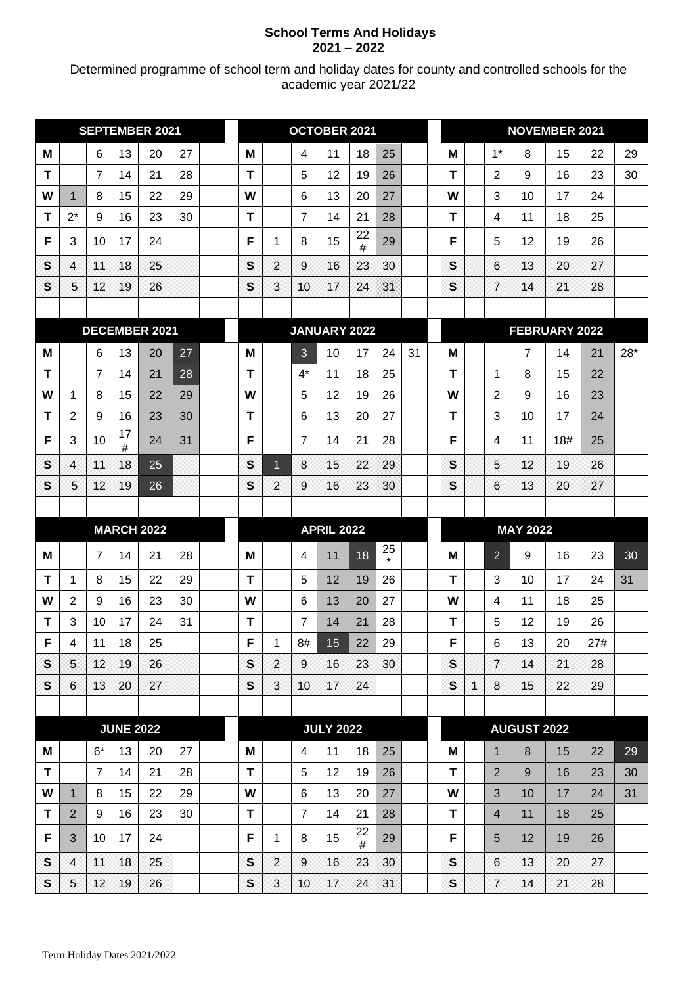## **School Terms And Holidays 2021 – 2022**

Determined programme of school term and holiday dates for county and controlled schools for the academic year 2021/22

| <b>SEPTEMBER 2021</b> |                         |                |                  | OCTOBER 2021         |    |                   |   |                         |                 | <b>NOVEMBER 2021</b> |          |                 |    |              |   |                    |                    |     |     |     |
|-----------------------|-------------------------|----------------|------------------|----------------------|----|-------------------|---|-------------------------|-----------------|----------------------|----------|-----------------|----|--------------|---|--------------------|--------------------|-----|-----|-----|
| M                     |                         | 6              | 13               | 20                   | 27 |                   | M |                         | 4               | 11                   | 18       | 25              |    | M            |   | $1^*$              | 8                  | 15  | 22  | 29  |
| Т                     |                         | $\overline{7}$ | 14               | 21                   | 28 |                   | Т |                         | 5               | 12                   | 19       | 26              |    | т            |   | 2                  | 9                  | 16  | 23  | 30  |
| W                     | 1                       | 8              | 15               | 22                   | 29 |                   | W |                         | 6               | 13                   | 20       | 27              |    | W            |   | 3                  | 10                 | 17  | 24  |     |
| т                     | $2^*$                   | 9              | 16               | 23                   | 30 |                   | т |                         | $\overline{7}$  | 14                   | 21       | 28              |    | т            |   | 4                  | 11                 | 18  | 25  |     |
| F                     | 3                       | 10             | 17               | 24                   |    |                   | F | 1                       | 8               | 15                   | 22<br>#  | 29              |    | F            |   | 5                  | 12                 | 19  | 26  |     |
| S                     | $\overline{\mathbf{4}}$ | 11             | 18               | 25                   |    |                   | S | $\overline{2}$          | 9               | 16                   | 23       | 30              |    | S            |   | 6                  | 13                 | 20  | 27  |     |
| S                     | 5                       | 12             | 19               | 26                   |    |                   | S | 3                       | 10              | 17                   | 24       | $3^{\circ}$     |    | S            |   | 7                  | 14                 | 21  | 28  |     |
|                       |                         |                |                  |                      |    |                   |   |                         |                 |                      |          |                 |    |              |   |                    |                    |     |     |     |
|                       |                         |                |                  | <b>DECEMBER 2021</b> |    |                   |   |                         |                 | JANUARY 2022         |          |                 |    |              |   |                    | FEBRUARY 2022      |     |     |     |
| M                     |                         | 6              | 13               | 20                   | 27 |                   | Μ |                         | 3               | 10                   | 17       | 24              | 31 | M            |   |                    | 7                  | 14  | 21  | 28* |
| T                     |                         | $\overline{7}$ | 14               | 21                   | 28 |                   | T |                         | $4^*$           | 11                   | 18       | 25              |    | т            |   | 1                  | 8                  | 15  | 22  |     |
| w                     | 1                       | 8              | 15               | 22                   | 29 |                   | W |                         | 5               | 12                   | 19       | 26              |    | W            |   | $\overline{2}$     | 9                  | 16  | 23  |     |
| т                     | $\overline{2}$          | 9              | 16               | 23                   | 30 |                   | T |                         | 6               | 13                   | 20       | 27              |    | т            |   | 3                  | 10                 | 17  | 24  |     |
| F                     | 3                       | 10             | 17<br>#          | 24                   | 31 |                   | F |                         | $\overline{7}$  | 14                   | 21       | 28              |    | F            |   | 4                  | 11                 | 18# | 25  |     |
| $\mathbf{s}$          | 4                       | 11             | 18               | 25                   |    |                   | S | $\overline{1}$          | 8               | 15                   | 22       | 29              |    | $\mathbf{s}$ |   | 5                  | 12                 | 19  | 26  |     |
| S                     | 5                       | 12             | 19               | 26                   |    |                   | S | $\overline{\mathbf{2}}$ | 9               | 16                   | 23       | 30              |    | S            |   | 6                  | 13                 | 20  | 27  |     |
|                       |                         |                |                  |                      |    |                   |   |                         |                 |                      |          |                 |    |              |   |                    |                    |     |     |     |
|                       | <b>MARCH 2022</b>       |                |                  |                      |    | <b>APRIL 2022</b> |   |                         |                 |                      |          | <b>MAY 2022</b> |    |              |   |                    |                    |     |     |     |
| M                     |                         | $\overline{7}$ | 14               | 21                   | 28 |                   | М |                         | 4               | 11                   | 18       | 25<br>$\star$   |    | M            |   | $\overline{2}$     | 9                  | 16  | 23  | 30  |
| Т                     | 1                       | 8              | 15               | 22                   | 29 |                   | T |                         | 5               | 12                   | 19       | 26              |    | т            |   | 3                  | 10                 | 17  | 24  | 31  |
| W                     | 2                       | 9              | 16               | 23                   | 30 |                   | W |                         | $6\phantom{1}6$ | 13                   | 20       | 27              |    | W            |   | 4                  | 11                 | 18  | 25  |     |
| $\mathbf T$           | 3                       | 10             | 17               | 24                   | 31 |                   | T |                         | $\overline{7}$  | 14                   | 21       | 28              |    | T            |   | 5                  | 12                 | 19  | 26  |     |
| F                     | $\overline{4}$          | 11             | 18               | 25                   |    |                   | F | $\mathbf 1$             | 8#              | 15                   | 22       | 29              |    | F            |   | $\,6$              | 13                 | 20  | 27# |     |
| S                     | 5                       | 12             | 19               | 26                   |    |                   | S | $\overline{2}$          | 9               | 16                   | 23       | 30              |    | $\mathbf{s}$ |   | $\overline{\iota}$ | 14                 | 21  | 28  |     |
| S                     | 6                       | 13             | 20               | 27                   |    |                   | S | $\overline{3}$          | 10              | 17                   | 24       |                 |    | S            | 1 | 8                  | 15                 | 22  | 29  |     |
|                       |                         |                |                  |                      |    |                   |   |                         |                 |                      |          |                 |    |              |   |                    |                    |     |     |     |
|                       |                         |                | <b>JUNE 2022</b> |                      |    |                   |   |                         |                 | <b>JULY 2022</b>     |          |                 |    |              |   |                    | <b>AUGUST 2022</b> |     |     |     |
| M                     |                         | $6*$           | 13               | 20                   | 27 |                   | Μ |                         | $\overline{4}$  | 11                   | 18       | 25              |    | M            |   | $\mathbf{1}$       | 8                  | 15  | 22  | 29  |
| T                     |                         | $\overline{7}$ | 14               | 21                   | 28 |                   | T |                         | 5               | 12                   | 19       | 26              |    | T            |   | $\overline{2}$     | 9                  | 16  | 23  | 30  |
| W                     | $\mathbf{1}$            | 8              | 15               | 22                   | 29 |                   | W |                         | $6\phantom{1}6$ | 13                   | 20       | 27              |    | W            |   | 3                  | 10                 | 17  | 24  | 31  |
| T                     | $\overline{2}$          | 9              | 16               | 23                   | 30 |                   | T |                         | $\overline{7}$  | 14                   | 21<br>22 | 28              |    | T            |   | $\overline{4}$     | 11                 | 18  | 25  |     |
| F                     | 3                       | 10             | 17               | 24                   |    |                   | F | $\mathbf{1}$            | 8               | 15                   | #        | 29              |    | F            |   | 5                  | 12                 | 19  | 26  |     |
| S                     | $\overline{\mathbf{A}}$ | 11             | 18               | 25                   |    |                   | S | 2                       | 9               | 16                   | 23       | 30              |    | $\mathbf{s}$ |   | 6                  | 13                 | 20  | 27  |     |
| S                     | 5                       | 12             | 19               | 26                   |    |                   | S | 3                       | 10              | $\sqrt{7}$           | 24       | 31              |    | S            |   | $\overline{\iota}$ | 14                 | 21  | 28  |     |